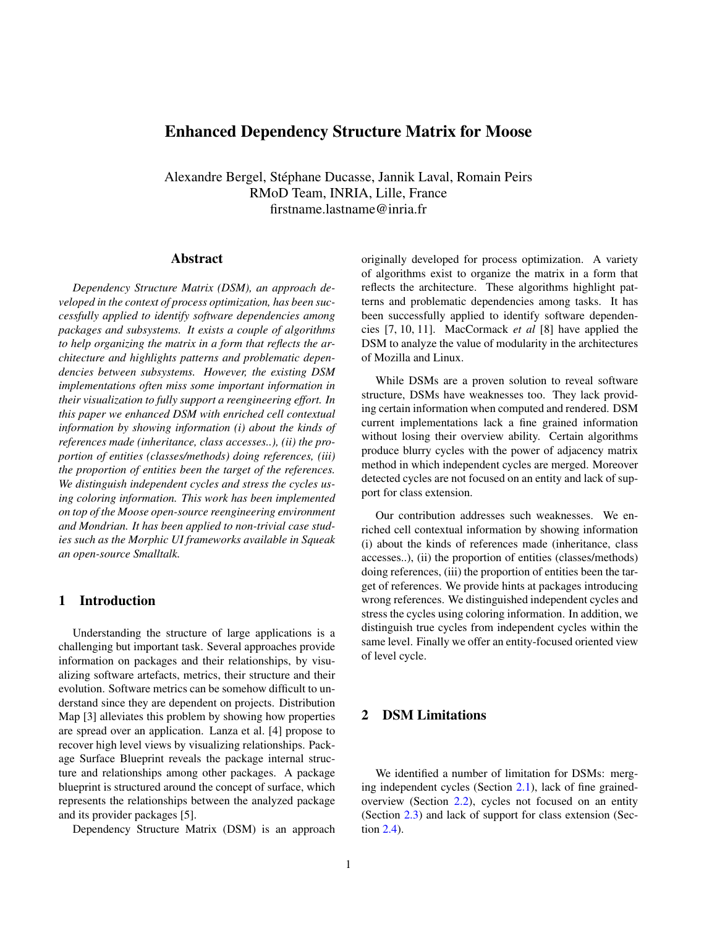# Enhanced Dependency Structure Matrix for Moose

Alexandre Bergel, Stephane Ducasse, Jannik Laval, Romain Peirs ´ RMoD Team, INRIA, Lille, France firstname.lastname@inria.fr

### Abstract

*Dependency Structure Matrix (DSM), an approach developed in the context of process optimization, has been successfully applied to identify software dependencies among packages and subsystems. It exists a couple of algorithms to help organizing the matrix in a form that reflects the architecture and highlights patterns and problematic dependencies between subsystems. However, the existing DSM implementations often miss some important information in their visualization to fully support a reengineering effort. In this paper we enhanced DSM with enriched cell contextual information by showing information (i) about the kinds of references made (inheritance, class accesses..), (ii) the proportion of entities (classes/methods) doing references, (iii) the proportion of entities been the target of the references. We distinguish independent cycles and stress the cycles using coloring information. This work has been implemented on top of the Moose open-source reengineering environment and Mondrian. It has been applied to non-trivial case studies such as the Morphic UI frameworks available in Squeak an open-source Smalltalk.*

## 1 Introduction

Understanding the structure of large applications is a challenging but important task. Several approaches provide information on packages and their relationships, by visualizing software artefacts, metrics, their structure and their evolution. Software metrics can be somehow difficult to understand since they are dependent on projects. Distribution Map [3] alleviates this problem by showing how properties are spread over an application. Lanza et al. [4] propose to recover high level views by visualizing relationships. Package Surface Blueprint reveals the package internal structure and relationships among other packages. A package blueprint is structured around the concept of surface, which represents the relationships between the analyzed package and its provider packages [5].

Dependency Structure Matrix (DSM) is an approach

originally developed for process optimization. A variety of algorithms exist to organize the matrix in a form that reflects the architecture. These algorithms highlight patterns and problematic dependencies among tasks. It has been successfully applied to identify software dependencies [7, 10, 11]. MacCormack *et al* [8] have applied the DSM to analyze the value of modularity in the architectures of Mozilla and Linux.

While DSMs are a proven solution to reveal software structure, DSMs have weaknesses too. They lack providing certain information when computed and rendered. DSM current implementations lack a fine grained information without losing their overview ability. Certain algorithms produce blurry cycles with the power of adjacency matrix method in which independent cycles are merged. Moreover detected cycles are not focused on an entity and lack of support for class extension.

Our contribution addresses such weaknesses. We enriched cell contextual information by showing information (i) about the kinds of references made (inheritance, class accesses..), (ii) the proportion of entities (classes/methods) doing references, (iii) the proportion of entities been the target of references. We provide hints at packages introducing wrong references. We distinguished independent cycles and stress the cycles using coloring information. In addition, we distinguish true cycles from independent cycles within the same level. Finally we offer an entity-focused oriented view of level cycle.

## 2 DSM Limitations

We identified a number of limitation for DSMs: merging independent cycles (Section [2.1\)](#page-1-0), lack of fine grainedoverview (Section [2.2\)](#page-1-1), cycles not focused on an entity (Section [2.3\)](#page-2-0) and lack of support for class extension (Section [2.4\)](#page-2-1).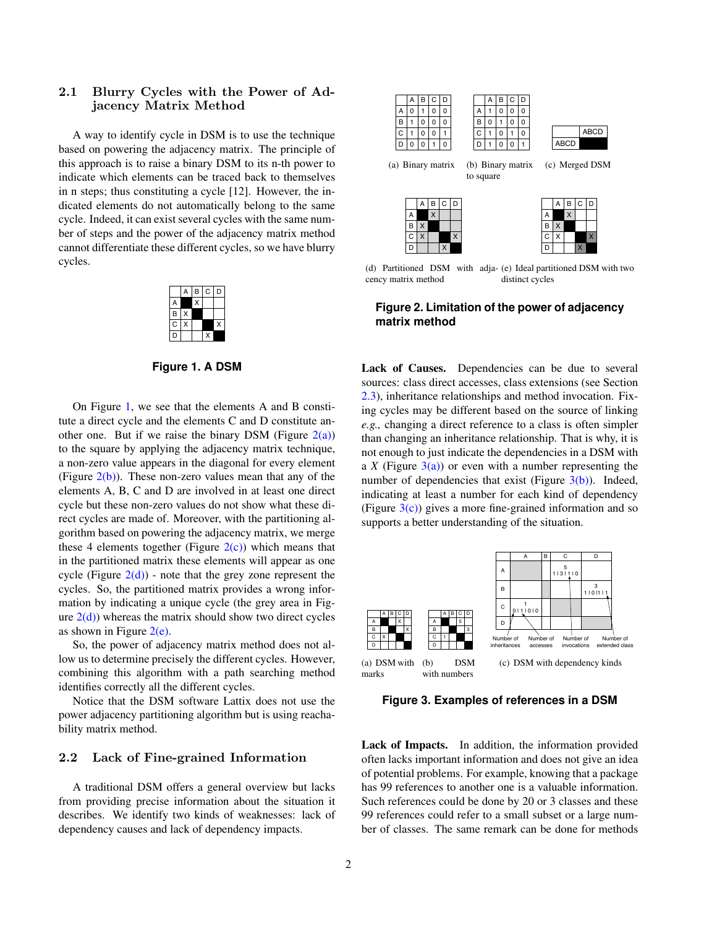## <span id="page-1-0"></span>2.1 Blurry Cycles with the Power of Adjacency Matrix Method

A way to identify cycle in DSM is to use the technique based on powering the adjacency matrix. The principle of this approach is to raise a binary DSM to its n-th power to indicate which elements can be traced back to themselves in n steps; thus constituting a cycle [12]. However, the indicated elements do not automatically belong to the same cycle. Indeed, it can exist several cycles with the same number of steps and the power of the adjacency matrix method cannot differentiate these different cycles, so we have blurry cycles.



<span id="page-1-2"></span>**Figure 1. A DSM**

On Figure [1,](#page-1-2) we see that the elements A and B constitute a direct cycle and the elements C and D constitute another one. But if we raise the binary DSM (Figure  $2(a)$ ) to the square by applying the adjacency matrix technique, a non-zero value appears in the diagonal for every element (Figure  $2(b)$ ). These non-zero values mean that any of the elements A, B, C and D are involved in at least one direct cycle but these non-zero values do not show what these direct cycles are made of. Moreover, with the partitioning algorithm based on powering the adjacency matrix, we merge these 4 elements together (Figure  $2(c)$ ) which means that in the partitioned matrix these elements will appear as one cycle (Figure  $2(d)$ ) - note that the grey zone represent the cycles. So, the partitioned matrix provides a wrong information by indicating a unique cycle (the grey area in Figure  $2(d)$ ) whereas the matrix should show two direct cycles as shown in Figure  $2(e)$ .

So, the power of adjacency matrix method does not allow us to determine precisely the different cycles. However, combining this algorithm with a path searching method identifies correctly all the different cycles.

Notice that the DSM software Lattix does not use the power adjacency partitioning algorithm but is using reachability matrix method.

#### <span id="page-1-1"></span>2.2 Lack of Fine-grained Information

A traditional DSM offers a general overview but lacks from providing precise information about the situation it describes. We identify two kinds of weaknesses: lack of dependency causes and lack of dependency impacts.

<span id="page-1-5"></span><span id="page-1-4"></span><span id="page-1-3"></span>

<span id="page-1-7"></span><span id="page-1-6"></span>(d) Partitioned DSM with adja-(e) Ideal partitioned DSM with two cency matrix method distinct cycles

### **Figure 2. Limitation of the power of adjacency matrix method**

Lack of Causes. Dependencies can be due to several sources: class direct accesses, class extensions (see Section [2.3\)](#page-2-0), inheritance relationships and method invocation. Fixing cycles may be different based on the source of linking *e.g.,* changing a direct reference to a class is often simpler than changing an inheritance relationship. That is why, it is not enough to just indicate the dependencies in a DSM with a *X* (Figure  $3(a)$ ) or even with a number representing the number of dependencies that exist (Figure  $3(b)$ ). Indeed, indicating at least a number for each kind of dependency (Figure  $3(c)$ ) gives a more fine-grained information and so supports a better understanding of the situation.

<span id="page-1-8"></span>

<span id="page-1-10"></span><span id="page-1-9"></span>**Figure 3. Examples of references in a DSM**

Lack of Impacts. In addition, the information provided often lacks important information and does not give an idea of potential problems. For example, knowing that a package has 99 references to another one is a valuable information. Such references could be done by 20 or 3 classes and these 99 references could refer to a small subset or a large number of classes. The same remark can be done for methods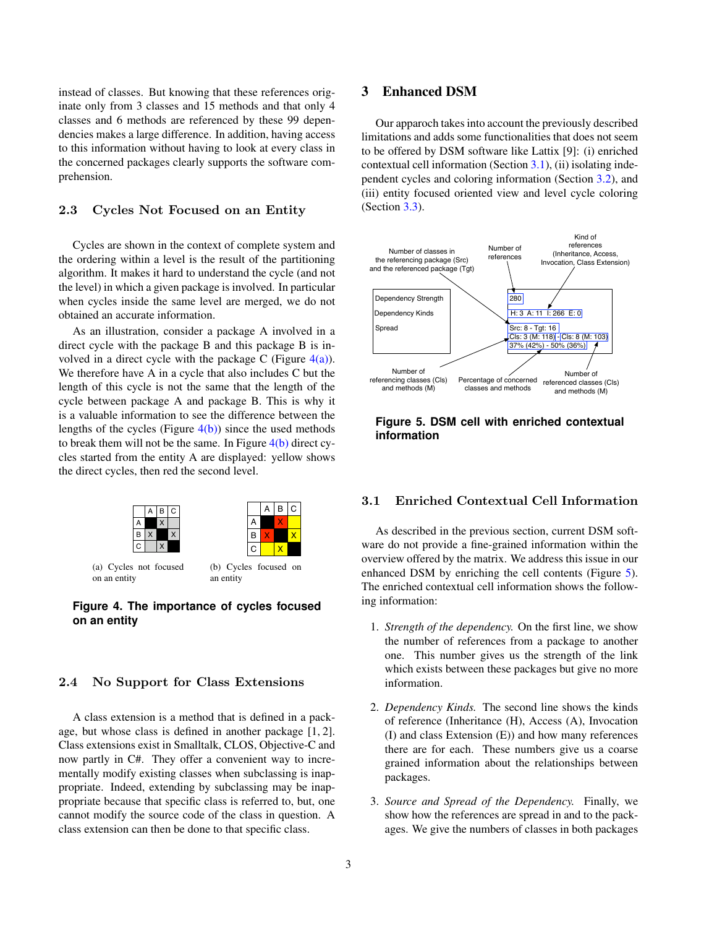instead of classes. But knowing that these references originate only from 3 classes and 15 methods and that only 4 classes and 6 methods are referenced by these 99 dependencies makes a large difference. In addition, having access to this information without having to look at every class in the concerned packages clearly supports the software comprehension.

### <span id="page-2-0"></span>2.3 Cycles Not Focused on an Entity

Cycles are shown in the context of complete system and the ordering within a level is the result of the partitioning algorithm. It makes it hard to understand the cycle (and not the level) in which a given package is involved. In particular when cycles inside the same level are merged, we do not obtained an accurate information.

As an illustration, consider a package A involved in a direct cycle with the package B and this package B is involved in a direct cycle with the package C (Figure  $4(a)$ ). We therefore have A in a cycle that also includes C but the length of this cycle is not the same that the length of the cycle between package A and package B. This is why it is a valuable information to see the difference between the lengths of the cycles (Figure  $4(b)$ ) since the used methods to break them will not be the same. In Figure  $4(b)$  direct cycles started from the entity A are displayed: yellow shows the direct cycles, then red the second level.

<span id="page-2-2"></span>

<span id="page-2-3"></span>an entity

on an entity

**Figure 4. The importance of cycles focused on an entity**

### <span id="page-2-1"></span>2.4 No Support for Class Extensions

A class extension is a method that is defined in a package, but whose class is defined in another package [1, 2]. Class extensions exist in Smalltalk, CLOS, Objective-C and now partly in C#. They offer a convenient way to incrementally modify existing classes when subclassing is inappropriate. Indeed, extending by subclassing may be inappropriate because that specific class is referred to, but, one cannot modify the source code of the class in question. A class extension can then be done to that specific class.

## 3 Enhanced DSM

Our apparoch takes into account the previously described limitations and adds some functionalities that does not seem to be offered by DSM software like Lattix [9]: (i) enriched contextual cell information (Section [3.1\)](#page-2-4), (ii) isolating independent cycles and coloring information (Section [3.2\)](#page-3-0), and (iii) entity focused oriented view and level cycle coloring (Section [3.3\)](#page-4-0).



#### <span id="page-2-5"></span>**Figure 5. DSM cell with enriched contextual information**

### <span id="page-2-4"></span>3.1 Enriched Contextual Cell Information

As described in the previous section, current DSM software do not provide a fine-grained information within the overview offered by the matrix. We address this issue in our enhanced DSM by enriching the cell contents (Figure [5\)](#page-2-5). The enriched contextual cell information shows the following information:

- 1. *Strength of the dependency.* On the first line, we show the number of references from a package to another one. This number gives us the strength of the link which exists between these packages but give no more information.
- 2. *Dependency Kinds.* The second line shows the kinds of reference (Inheritance (H), Access (A), Invocation (I) and class Extension (E)) and how many references there are for each. These numbers give us a coarse grained information about the relationships between packages.
- 3. *Source and Spread of the Dependency.* Finally, we show how the references are spread in and to the packages. We give the numbers of classes in both packages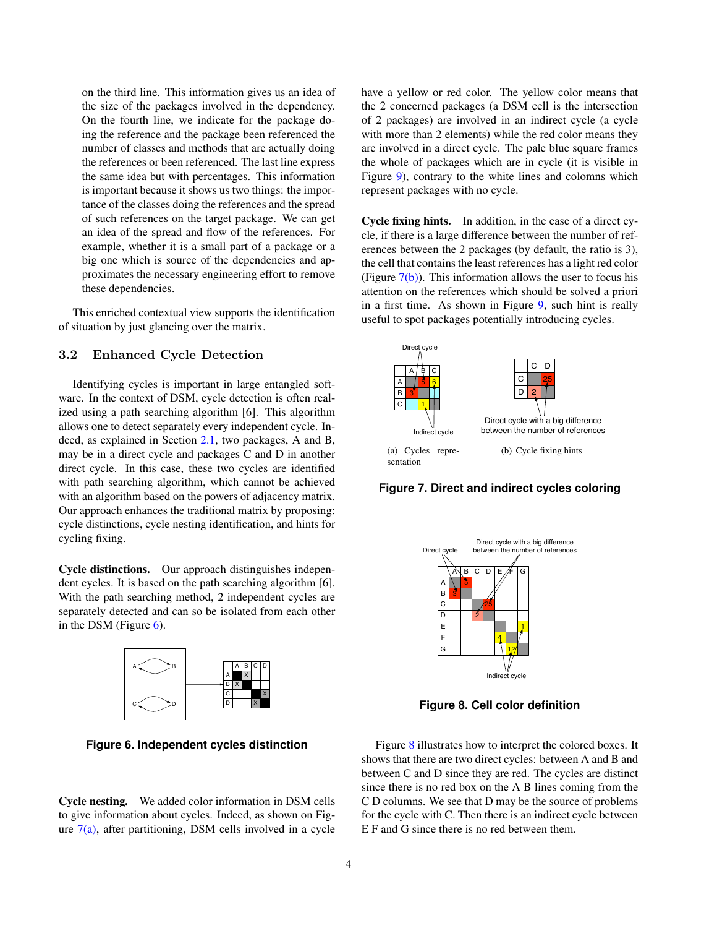on the third line. This information gives us an idea of the size of the packages involved in the dependency. On the fourth line, we indicate for the package doing the reference and the package been referenced the number of classes and methods that are actually doing the references or been referenced. The last line express the same idea but with percentages. This information is important because it shows us two things: the importance of the classes doing the references and the spread of such references on the target package. We can get an idea of the spread and flow of the references. For example, whether it is a small part of a package or a big one which is source of the dependencies and approximates the necessary engineering effort to remove these dependencies.

This enriched contextual view supports the identification of situation by just glancing over the matrix.

## <span id="page-3-0"></span>3.2 Enhanced Cycle Detection

Identifying cycles is important in large entangled software. In the context of DSM, cycle detection is often realized using a path searching algorithm [6]. This algorithm allows one to detect separately every independent cycle. Indeed, as explained in Section [2.1,](#page-1-0) two packages, A and B, may be in a direct cycle and packages C and D in another direct cycle. In this case, these two cycles are identified with path searching algorithm, which cannot be achieved with an algorithm based on the powers of adjacency matrix. Our approach enhances the traditional matrix by proposing: cycle distinctions, cycle nesting identification, and hints for cycling fixing.

Cycle distinctions. Our approach distinguishes independent cycles. It is based on the path searching algorithm [6]. With the path searching method, 2 independent cycles are separately detected and can so be isolated from each other in the DSM (Figure [6\)](#page-3-1).



<span id="page-3-1"></span>**Figure 6. Independent cycles distinction**

Cycle nesting. We added color information in DSM cells to give information about cycles. Indeed, as shown on Figure  $7(a)$ , after partitioning, DSM cells involved in a cycle have a yellow or red color. The yellow color means that the 2 concerned packages (a DSM cell is the intersection of 2 packages) are involved in an indirect cycle (a cycle with more than 2 elements) while the red color means they are involved in a direct cycle. The pale blue square frames the whole of packages which are in cycle (it is visible in Figure [9\)](#page-4-1), contrary to the white lines and colomns which represent packages with no cycle.

Cycle fixing hints. In addition, in the case of a direct cycle, if there is a large difference between the number of references between the 2 packages (by default, the ratio is 3), the cell that contains the least references has a light red color (Figure  $7(b)$ ). This information allows the user to focus his attention on the references which should be solved a priori in a first time. As shown in Figure [9,](#page-4-1) such hint is really useful to spot packages potentially introducing cycles.

<span id="page-3-2"></span>

<span id="page-3-3"></span>**Figure 7. Direct and indirect cycles coloring**



<span id="page-3-4"></span>**Figure 8. Cell color definition**

Figure [8](#page-3-4) illustrates how to interpret the colored boxes. It shows that there are two direct cycles: between A and B and between C and D since they are red. The cycles are distinct since there is no red box on the A B lines coming from the C D columns. We see that D may be the source of problems for the cycle with C. Then there is an indirect cycle between E F and G since there is no red between them.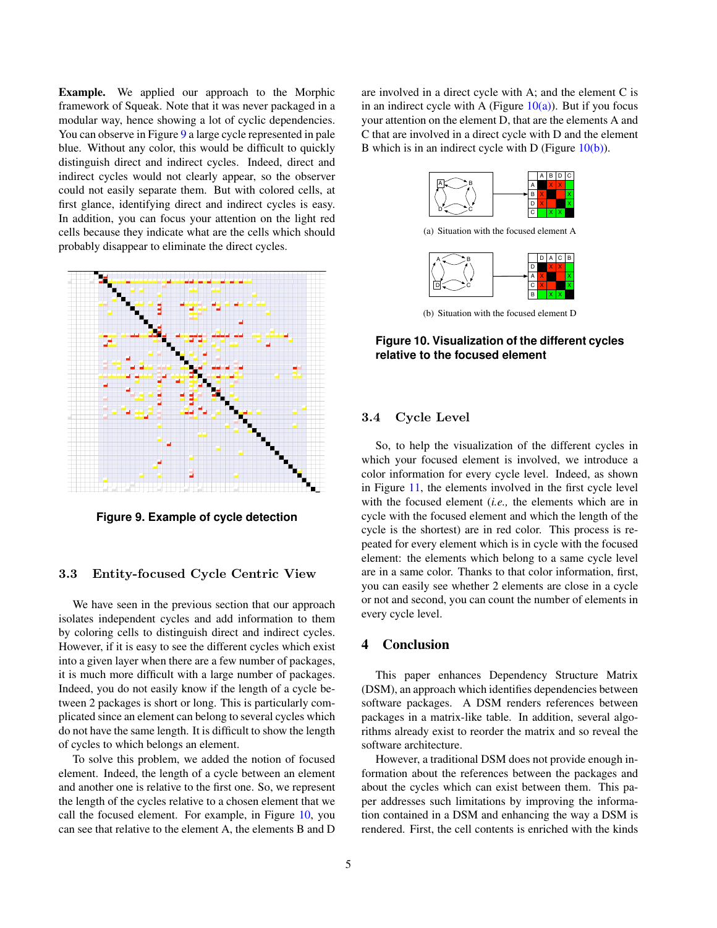Example. We applied our approach to the Morphic framework of Squeak. Note that it was never packaged in a modular way, hence showing a lot of cyclic dependencies. You can observe in Figure [9](#page-4-1) a large cycle represented in pale blue. Without any color, this would be difficult to quickly distinguish direct and indirect cycles. Indeed, direct and indirect cycles would not clearly appear, so the observer could not easily separate them. But with colored cells, at first glance, identifying direct and indirect cycles is easy. In addition, you can focus your attention on the light red cells because they indicate what are the cells which should probably disappear to eliminate the direct cycles.



<span id="page-4-1"></span>**Figure 9. Example of cycle detection**

#### <span id="page-4-0"></span>3.3 Entity-focused Cycle Centric View

We have seen in the previous section that our approach isolates independent cycles and add information to them by coloring cells to distinguish direct and indirect cycles. However, if it is easy to see the different cycles which exist into a given layer when there are a few number of packages, it is much more difficult with a large number of packages. Indeed, you do not easily know if the length of a cycle between 2 packages is short or long. This is particularly complicated since an element can belong to several cycles which do not have the same length. It is difficult to show the length of cycles to which belongs an element.

To solve this problem, we added the notion of focused element. Indeed, the length of a cycle between an element and another one is relative to the first one. So, we represent the length of the cycles relative to a chosen element that we call the focused element. For example, in Figure [10,](#page-4-2) you can see that relative to the element A, the elements B and D

are involved in a direct cycle with A; and the element C is in an indirect cycle with A (Figure  $10(a)$ ). But if you focus your attention on the element D, that are the elements A and C that are involved in a direct cycle with D and the element B which is in an indirect cycle with D (Figure  $10(b)$ ).

<span id="page-4-3"></span>

(a) Situation with the focused element A



<span id="page-4-4"></span><span id="page-4-2"></span>(b) Situation with the focused element D

### **Figure 10. Visualization of the different cycles relative to the focused element**

### 3.4 Cycle Level

So, to help the visualization of the different cycles in which your focused element is involved, we introduce a color information for every cycle level. Indeed, as shown in Figure [11,](#page-5-0) the elements involved in the first cycle level with the focused element (*i.e.,* the elements which are in cycle with the focused element and which the length of the cycle is the shortest) are in red color. This process is repeated for every element which is in cycle with the focused element: the elements which belong to a same cycle level are in a same color. Thanks to that color information, first, you can easily see whether 2 elements are close in a cycle or not and second, you can count the number of elements in every cycle level.

## 4 Conclusion

This paper enhances Dependency Structure Matrix (DSM), an approach which identifies dependencies between software packages. A DSM renders references between packages in a matrix-like table. In addition, several algorithms already exist to reorder the matrix and so reveal the software architecture.

However, a traditional DSM does not provide enough information about the references between the packages and about the cycles which can exist between them. This paper addresses such limitations by improving the information contained in a DSM and enhancing the way a DSM is rendered. First, the cell contents is enriched with the kinds